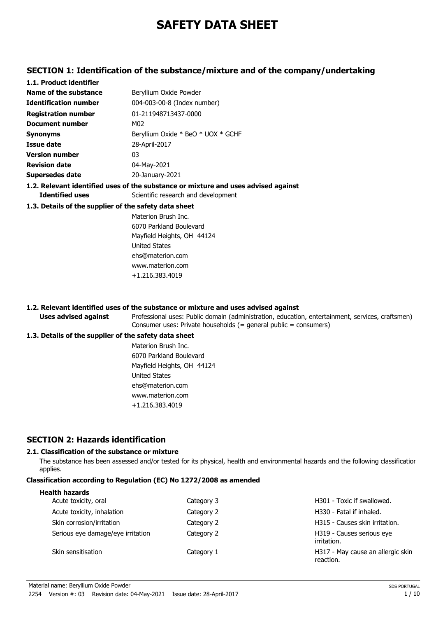# **SAFETY DATA SHEET**

## **SECTION 1: Identification of the substance/mixture and of the company/undertaking**

| 1.1. Product identifier                               |                                                                                    |
|-------------------------------------------------------|------------------------------------------------------------------------------------|
| Name of the substance                                 | Beryllium Oxide Powder                                                             |
| <b>Identification number</b>                          | 004-003-00-8 (Index number)                                                        |
| <b>Registration number</b>                            | 01-211948713437-0000                                                               |
| <b>Document number</b>                                | M02                                                                                |
| <b>Synonyms</b>                                       | Beryllium Oxide * BeO * UOX * GCHF                                                 |
| <b>Issue date</b>                                     | 28-April-2017                                                                      |
| <b>Version number</b>                                 | 03                                                                                 |
| <b>Revision date</b>                                  | 04-May-2021                                                                        |
| Supersedes date                                       | 20-January-2021                                                                    |
|                                                       | 1.2. Relevant identified uses of the substance or mixture and uses advised against |
| <b>Identified uses</b>                                | Scientific research and development                                                |
| 1.3. Details of the supplier of the safety data sheet |                                                                                    |
|                                                       | Materion Brush Inc.                                                                |
|                                                       | 6070 Parkland Boulevard                                                            |
|                                                       | Mayfield Heights, OH 44124                                                         |
|                                                       | United States                                                                      |
|                                                       | ehs@materion.com                                                                   |
|                                                       | www.materion.com                                                                   |

#### **1.2. Relevant identified uses of the substance or mixture and uses advised against**

+1.216.383.4019

Professional uses: Public domain (administration, education, entertainment, services, craftsmen) Consumer uses: Private households (= general public = consumers)

#### **1.3. Details of the supplier of the safety data sheet**

**Uses advised against**

Materion Brush Inc. 6070 Parkland Boulevard Mayfield Heights, OH 44124 United States ehs@materion.com www.materion.com +1.216.383.4019

## **SECTION 2: Hazards identification**

#### **2.1. Classification of the substance or mixture**

The substance has been assessed and/or tested for its physical, health and environmental hazards and the following classification applies.

## **Classification according to Regulation (EC) No 1272/2008 as amended**

| Category 3 | H301 - Toxic if swallowed.                     |
|------------|------------------------------------------------|
| Category 2 | H330 - Fatal if inhaled.                       |
| Category 2 | H315 - Causes skin irritation.                 |
| Category 2 | H319 - Causes serious eye<br>irritation.       |
| Category 1 | H317 - May cause an allergic skin<br>reaction. |
|            |                                                |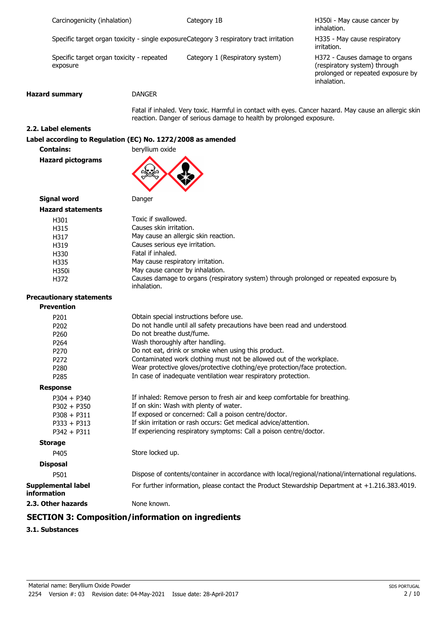| Carcinogenicity (inhalation) |  |
|------------------------------|--|
|                              |  |

Category 1B

H350i - May cause cancer by inhalation.

Specific target organ toxicity - single exposureCategory 3 respiratory tract irritation

Specific target organ toxicity - repeated Category 1 (Respiratory system) exposure

H335 - May cause respiratory irritation.

H372 - Causes damage to organs (respiratory system) through prolonged or repeated exposure by inhalation.

#### **Hazard summary** DANGER

Fatal if inhaled. Very toxic. Harmful in contact with eyes. Cancer hazard. May cause an allergic skin reaction. Danger of serious damage to health by prolonged exposure.

## **2.2. Label elements**

#### **Label according to Regulation (EC) No. 1272/2008 as amended**

**Contains: beryllium oxide** 

**Hazard pictograms**



**Signal word Danger** 

| <b>Hazard statements</b> |                                                                                                       |
|--------------------------|-------------------------------------------------------------------------------------------------------|
| H301                     | Toxic if swallowed.                                                                                   |
| H315                     | Causes skin irritation.                                                                               |
| H317                     | May cause an allergic skin reaction.                                                                  |
| H319                     | Causes serious eye irritation.                                                                        |
| H330                     | Fatal if inhaled.                                                                                     |
| H335                     | May cause respiratory irritation.                                                                     |
| H350i                    | May cause cancer by inhalation.                                                                       |
| H372                     | Causes damage to organs (respiratory system) through prolonged or repeated exposure by<br>inhalation. |

# **Precautionary statements**

| <b>Prevention</b>                               |                                                                                                     |
|-------------------------------------------------|-----------------------------------------------------------------------------------------------------|
| P <sub>201</sub>                                | Obtain special instructions before use.                                                             |
| P202                                            | Do not handle until all safety precautions have been read and understood.                           |
| P <sub>260</sub>                                | Do not breathe dust/fume.                                                                           |
| P <sub>264</sub>                                | Wash thoroughly after handling.                                                                     |
| P <sub>270</sub>                                | Do not eat, drink or smoke when using this product.                                                 |
| P <sub>272</sub>                                | Contaminated work clothing must not be allowed out of the workplace.                                |
| P <sub>280</sub>                                | Wear protective gloves/protective clothing/eye protection/face protection.                          |
| P <sub>285</sub>                                | In case of inadequate ventilation wear respiratory protection.                                      |
| <b>Response</b>                                 |                                                                                                     |
| $P304 + P340$                                   | If inhaled: Remove person to fresh air and keep comfortable for breathing.                          |
| $P302 + P350$                                   | If on skin: Wash with plenty of water.                                                              |
| $P308 + P311$                                   | If exposed or concerned: Call a poison centre/doctor.                                               |
| $P333 + P313$                                   | If skin irritation or rash occurs: Get medical advice/attention.                                    |
| $P342 + P311$                                   | If experiencing respiratory symptoms: Call a poison centre/doctor.                                  |
| <b>Storage</b>                                  |                                                                                                     |
| P405                                            | Store locked up.                                                                                    |
| <b>Disposal</b>                                 |                                                                                                     |
| P501                                            | Dispose of contents/container in accordance with local/regional/national/international regulations. |
| <b>Supplemental label</b><br><b>information</b> | For further information, please contact the Product Stewardship Department at +1.216.383.4019.      |
| 2.3. Other hazards                              | None known.                                                                                         |
| CECTION 5. C                                    |                                                                                                     |

## **SECTION 3: Composition/information on ingredients**

**3.1. Substances**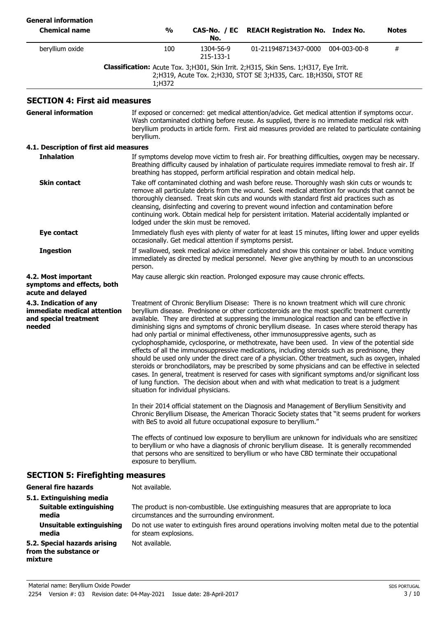| <b>General information</b><br><b>Chemical name</b>                                       | $\frac{1}{2}$                                                                                                                                                                                                                                                                                                                                                                                                                                                                                                                           | CAS-No. / EC<br>No.                                      | <b>REACH Registration No. Index No.</b>                                                                                                                                                                                                                                                                                                                                                                                                                                                                                                                                                                                                                                                                                                                                                                                                                                                                                                                                                                                                                                                                        |              | Notes |
|------------------------------------------------------------------------------------------|-----------------------------------------------------------------------------------------------------------------------------------------------------------------------------------------------------------------------------------------------------------------------------------------------------------------------------------------------------------------------------------------------------------------------------------------------------------------------------------------------------------------------------------------|----------------------------------------------------------|----------------------------------------------------------------------------------------------------------------------------------------------------------------------------------------------------------------------------------------------------------------------------------------------------------------------------------------------------------------------------------------------------------------------------------------------------------------------------------------------------------------------------------------------------------------------------------------------------------------------------------------------------------------------------------------------------------------------------------------------------------------------------------------------------------------------------------------------------------------------------------------------------------------------------------------------------------------------------------------------------------------------------------------------------------------------------------------------------------------|--------------|-------|
| beryllium oxide                                                                          | 100                                                                                                                                                                                                                                                                                                                                                                                                                                                                                                                                     | 1304-56-9<br>215-133-1                                   | 01-211948713437-0000                                                                                                                                                                                                                                                                                                                                                                                                                                                                                                                                                                                                                                                                                                                                                                                                                                                                                                                                                                                                                                                                                           | 004-003-00-8 | #     |
|                                                                                          | 1;H372                                                                                                                                                                                                                                                                                                                                                                                                                                                                                                                                  |                                                          | Classification: Acute Tox. 3;H301, Skin Irrit. 2;H315, Skin Sens. 1;H317, Eye Irrit.<br>2;H319, Acute Tox. 2;H330, STOT SE 3;H335, Carc. 1B;H350i, STOT RE                                                                                                                                                                                                                                                                                                                                                                                                                                                                                                                                                                                                                                                                                                                                                                                                                                                                                                                                                     |              |       |
| <b>SECTION 4: First aid measures</b>                                                     |                                                                                                                                                                                                                                                                                                                                                                                                                                                                                                                                         |                                                          |                                                                                                                                                                                                                                                                                                                                                                                                                                                                                                                                                                                                                                                                                                                                                                                                                                                                                                                                                                                                                                                                                                                |              |       |
| <b>General information</b>                                                               | beryllium.                                                                                                                                                                                                                                                                                                                                                                                                                                                                                                                              |                                                          | If exposed or concerned: get medical attention/advice. Get medical attention if symptoms occur.<br>Wash contaminated clothing before reuse. As supplied, there is no immediate medical risk with<br>beryllium products in article form. First aid measures provided are related to particulate containing                                                                                                                                                                                                                                                                                                                                                                                                                                                                                                                                                                                                                                                                                                                                                                                                      |              |       |
| 4.1. Description of first aid measures                                                   |                                                                                                                                                                                                                                                                                                                                                                                                                                                                                                                                         |                                                          |                                                                                                                                                                                                                                                                                                                                                                                                                                                                                                                                                                                                                                                                                                                                                                                                                                                                                                                                                                                                                                                                                                                |              |       |
| <b>Inhalation</b>                                                                        |                                                                                                                                                                                                                                                                                                                                                                                                                                                                                                                                         |                                                          | If symptoms develop move victim to fresh air. For breathing difficulties, oxygen may be necessary.<br>Breathing difficulty caused by inhalation of particulate requires immediate removal to fresh air. If<br>breathing has stopped, perform artificial respiration and obtain medical help.                                                                                                                                                                                                                                                                                                                                                                                                                                                                                                                                                                                                                                                                                                                                                                                                                   |              |       |
| <b>Skin contact</b>                                                                      | Take off contaminated clothing and wash before reuse. Thoroughly wash skin cuts or wounds to<br>remove all particulate debris from the wound. Seek medical attention for wounds that cannot be<br>thoroughly cleansed. Treat skin cuts and wounds with standard first aid practices such as<br>cleansing, disinfecting and covering to prevent wound infection and contamination before<br>continuing work. Obtain medical help for persistent irritation. Material accidentally implanted or<br>lodged under the skin must be removed. |                                                          |                                                                                                                                                                                                                                                                                                                                                                                                                                                                                                                                                                                                                                                                                                                                                                                                                                                                                                                                                                                                                                                                                                                |              |       |
| Eye contact                                                                              |                                                                                                                                                                                                                                                                                                                                                                                                                                                                                                                                         | occasionally. Get medical attention if symptoms persist. | Immediately flush eyes with plenty of water for at least 15 minutes, lifting lower and upper eyelids                                                                                                                                                                                                                                                                                                                                                                                                                                                                                                                                                                                                                                                                                                                                                                                                                                                                                                                                                                                                           |              |       |
| <b>Ingestion</b>                                                                         | person.                                                                                                                                                                                                                                                                                                                                                                                                                                                                                                                                 |                                                          | If swallowed, seek medical advice immediately and show this container or label. Induce vomiting<br>immediately as directed by medical personnel. Never give anything by mouth to an unconscious                                                                                                                                                                                                                                                                                                                                                                                                                                                                                                                                                                                                                                                                                                                                                                                                                                                                                                                |              |       |
| 4.2. Most important<br>symptoms and effects, both<br>acute and delayed                   |                                                                                                                                                                                                                                                                                                                                                                                                                                                                                                                                         |                                                          | May cause allergic skin reaction. Prolonged exposure may cause chronic effects.                                                                                                                                                                                                                                                                                                                                                                                                                                                                                                                                                                                                                                                                                                                                                                                                                                                                                                                                                                                                                                |              |       |
| 4.3. Indication of any<br>immediate medical attention<br>and special treatment<br>needed | situation for individual physicians.                                                                                                                                                                                                                                                                                                                                                                                                                                                                                                    |                                                          | Treatment of Chronic Beryllium Disease: There is no known treatment which will cure chronic<br>beryllium disease. Prednisone or other corticosteroids are the most specific treatment currently<br>available. They are directed at suppressing the immunological reaction and can be effective in<br>diminishing signs and symptoms of chronic beryllium disease. In cases where steroid therapy has<br>had only partial or minimal effectiveness, other immunosuppressive agents, such as<br>cyclophosphamide, cyclosporine, or methotrexate, have been used. In view of the potential side<br>effects of all the immunosuppressive medications, including steroids such as prednisone, they<br>should be used only under the direct care of a physician. Other treatment, such as oxygen, inhaled<br>steroids or bronchodilators, may be prescribed by some physicians and can be effective in selected<br>cases. In general, treatment is reserved for cases with significant symptoms and/or significant loss<br>of lung function. The decision about when and with what medication to treat is a judgment |              |       |
|                                                                                          |                                                                                                                                                                                                                                                                                                                                                                                                                                                                                                                                         |                                                          | In their 2014 official statement on the Diagnosis and Management of Beryllium Sensitivity and<br>Chronic Beryllium Disease, the American Thoracic Society states that "it seems prudent for workers<br>with BeS to avoid all future occupational exposure to beryllium."                                                                                                                                                                                                                                                                                                                                                                                                                                                                                                                                                                                                                                                                                                                                                                                                                                       |              |       |
|                                                                                          | The effects of continued low exposure to beryllium are unknown for individuals who are sensitizec<br>to beryllium or who have a diagnosis of chronic beryllium disease. It is generally recommended<br>that persons who are sensitized to beryllium or who have CBD terminate their occupational<br>exposure to beryllium.                                                                                                                                                                                                              |                                                          |                                                                                                                                                                                                                                                                                                                                                                                                                                                                                                                                                                                                                                                                                                                                                                                                                                                                                                                                                                                                                                                                                                                |              |       |
| <b>SECTION 5: Firefighting measures</b>                                                  |                                                                                                                                                                                                                                                                                                                                                                                                                                                                                                                                         |                                                          |                                                                                                                                                                                                                                                                                                                                                                                                                                                                                                                                                                                                                                                                                                                                                                                                                                                                                                                                                                                                                                                                                                                |              |       |
| <b>General fire hazards</b>                                                              | Not available.                                                                                                                                                                                                                                                                                                                                                                                                                                                                                                                          |                                                          |                                                                                                                                                                                                                                                                                                                                                                                                                                                                                                                                                                                                                                                                                                                                                                                                                                                                                                                                                                                                                                                                                                                |              |       |
| 5.1. Extinguishing media<br>Suitable extinguishing<br>media                              |                                                                                                                                                                                                                                                                                                                                                                                                                                                                                                                                         | circumstances and the surrounding environment.           | The product is non-combustible. Use extinguishing measures that are appropriate to loca                                                                                                                                                                                                                                                                                                                                                                                                                                                                                                                                                                                                                                                                                                                                                                                                                                                                                                                                                                                                                        |              |       |
| <b>Unsuitable extinguishing</b><br>media                                                 | for steam explosions.                                                                                                                                                                                                                                                                                                                                                                                                                                                                                                                   |                                                          | Do not use water to extinguish fires around operations involving molten metal due to the potential                                                                                                                                                                                                                                                                                                                                                                                                                                                                                                                                                                                                                                                                                                                                                                                                                                                                                                                                                                                                             |              |       |
| 5.2. Special hazards arising<br>from the substance or<br>mixture                         | Not available.                                                                                                                                                                                                                                                                                                                                                                                                                                                                                                                          |                                                          |                                                                                                                                                                                                                                                                                                                                                                                                                                                                                                                                                                                                                                                                                                                                                                                                                                                                                                                                                                                                                                                                                                                |              |       |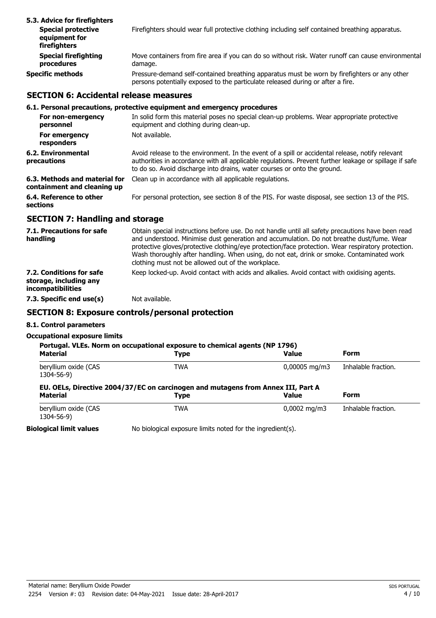| 5.3. Advice for firefighters                               |                                                                                                                                                                                 |
|------------------------------------------------------------|---------------------------------------------------------------------------------------------------------------------------------------------------------------------------------|
| <b>Special protective</b><br>equipment for<br>firefighters | Firefighters should wear full protective clothing including self contained breathing apparatus.                                                                                 |
| <b>Special firefighting</b><br>procedures                  | Move containers from fire area if you can do so without risk. Water runoff can cause environmental<br>damage.                                                                   |
| <b>Specific methods</b>                                    | Pressure-demand self-contained breathing apparatus must be worn by firefighters or any other<br>persons potentially exposed to the particulate released during or after a fire. |

## **SECTION 6: Accidental release measures**

#### **6.1. Personal precautions, protective equipment and emergency procedures**

| For non-emergency<br>personnel                               | In solid form this material poses no special clean-up problems. Wear appropriate protective<br>equipment and clothing during clean-up.                                                                                                                                                 |
|--------------------------------------------------------------|----------------------------------------------------------------------------------------------------------------------------------------------------------------------------------------------------------------------------------------------------------------------------------------|
| For emergency<br>responders                                  | Not available.                                                                                                                                                                                                                                                                         |
| 6.2. Environmental<br>precautions                            | Avoid release to the environment. In the event of a spill or accidental release, notify relevant<br>authorities in accordance with all applicable regulations. Prevent further leakage or spillage if safe<br>to do so. Avoid discharge into drains, water courses or onto the ground. |
| 6.3. Methods and material for<br>containment and cleaning up | Clean up in accordance with all applicable regulations.                                                                                                                                                                                                                                |
| 6.4. Reference to other<br>sections                          | For personal protection, see section 8 of the PIS. For waste disposal, see section 13 of the PIS.                                                                                                                                                                                      |

## **SECTION 7: Handling and storage**

| 7.1. Precautions for safe<br>handling                                   | Obtain special instructions before use. Do not handle until all safety precautions have been read<br>and understood. Minimise dust generation and accumulation. Do not breathe dust/fume. Wear<br>protective gloves/protective clothing/eye protection/face protection. Wear respiratory protection.<br>Wash thoroughly after handling. When using, do not eat, drink or smoke. Contaminated work<br>clothing must not be allowed out of the workplace. |
|-------------------------------------------------------------------------|---------------------------------------------------------------------------------------------------------------------------------------------------------------------------------------------------------------------------------------------------------------------------------------------------------------------------------------------------------------------------------------------------------------------------------------------------------|
| 7.2. Conditions for safe<br>storage, including any<br>incompatibilities | Keep locked-up. Avoid contact with acids and alkalies. Avoid contact with oxidising agents.                                                                                                                                                                                                                                                                                                                                                             |
| 7.3. Specific end use(s)                                                | Not available.                                                                                                                                                                                                                                                                                                                                                                                                                                          |

## **SECTION 8: Exposure controls/personal protection**

## **8.1. Control parameters**

#### **Occupational exposure limits**

| <b>Material</b>                    | Portugal. VLEs. Norm on occupational exposure to chemical agents (NP 1796)<br>Type       | <b>Value</b>              | <b>Form</b>         |
|------------------------------------|------------------------------------------------------------------------------------------|---------------------------|---------------------|
| beryllium oxide (CAS<br>1304-56-9) | <b>TWA</b>                                                                               | $0,00005 \,\mathrm{mg/m}$ | Inhalable fraction. |
|                                    |                                                                                          |                           |                     |
| <b>Material</b>                    | EU. OELs, Directive 2004/37/EC on carcinogen and mutagens from Annex III, Part A<br>Type | <b>Value</b>              | <b>Form</b>         |

**Biological limit values** No biological exposure limits noted for the ingredient(s).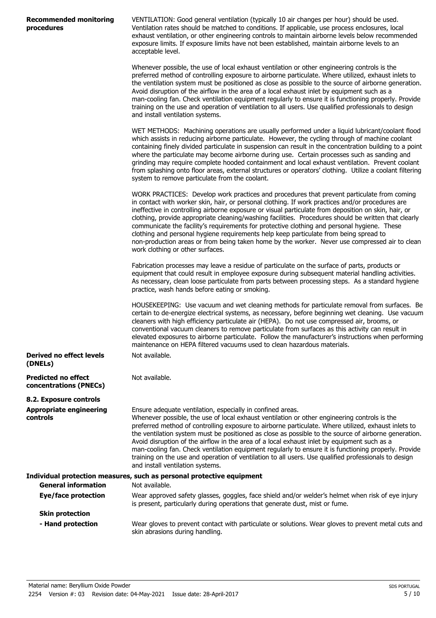| <b>Recommended monitoring</b> |  |
|-------------------------------|--|
| procedures                    |  |

VENTILATION: Good general ventilation (typically 10 air changes per hour) should be used. Ventilation rates should be matched to conditions. If applicable, use process enclosures, local exhaust ventilation, or other engineering controls to maintain airborne levels below recommended exposure limits. If exposure limits have not been established, maintain airborne levels to an acceptable level.

Whenever possible, the use of local exhaust ventilation or other engineering controls is the preferred method of controlling exposure to airborne particulate. Where utilized, exhaust inlets to the ventilation system must be positioned as close as possible to the source of airborne generation. Avoid disruption of the airflow in the area of a local exhaust inlet by equipment such as a man-cooling fan. Check ventilation equipment regularly to ensure it is functioning properly. Provide training on the use and operation of ventilation to all users. Use qualified professionals to design and install ventilation systems.

WET METHODS: Machining operations are usually performed under a liquid lubricant/coolant flood which assists in reducing airborne particulate. However, the cycling through of machine coolant containing finely divided particulate in suspension can result in the concentration building to a point where the particulate may become airborne during use. Certain processes such as sanding and grinding may require complete hooded containment and local exhaust ventilation. Prevent coolant from splashing onto floor areas, external structures or operators' clothing. Utilize a coolant filtering system to remove particulate from the coolant.

WORK PRACTICES: Develop work practices and procedures that prevent particulate from coming in contact with worker skin, hair, or personal clothing. If work practices and/or procedures are ineffective in controlling airborne exposure or visual particulate from deposition on skin, hair, or clothing, provide appropriate cleaning/washing facilities. Procedures should be written that clearly communicate the facility's requirements for protective clothing and personal hygiene. These clothing and personal hygiene requirements help keep particulate from being spread to non-production areas or from being taken home by the worker. Never use compressed air to clean work clothing or other surfaces.

Fabrication processes may leave a residue of particulate on the surface of parts, products or equipment that could result in employee exposure during subsequent material handling activities. As necessary, clean loose particulate from parts between processing steps. As a standard hygiene practice, wash hands before eating or smoking.

HOUSEKEEPING: Use vacuum and wet cleaning methods for particulate removal from surfaces. Be certain to de-energize electrical systems, as necessary, before beginning wet cleaning. Use vacuum cleaners with high efficiency particulate air (HEPA). Do not use compressed air, brooms, or conventional vacuum cleaners to remove particulate from surfaces as this activity can result in elevated exposures to airborne particulate. Follow the manufacturer's instructions when performing maintenance on HEPA filtered vacuums used to clean hazardous materials. Not available.

**Derived no effect levels (DNELs)**

**Predicted no effect concentrations (PNECs)**

**8.2. Exposure controls Appropriate engineering controls**

Ensure adequate ventilation, especially in confined areas. Whenever possible, the use of local exhaust ventilation or other engineering controls is the preferred method of controlling exposure to airborne particulate. Where utilized, exhaust inlets to the ventilation system must be positioned as close as possible to the source of airborne generation. Avoid disruption of the airflow in the area of a local exhaust inlet by equipment such as a man-cooling fan. Check ventilation equipment regularly to ensure it is functioning properly. Provide training on the use and operation of ventilation to all users. Use qualified professionals to design and install ventilation systems.

| Individual protection measures, such as personal protective equipment |                                                                                                                                                                                   |  |  |
|-----------------------------------------------------------------------|-----------------------------------------------------------------------------------------------------------------------------------------------------------------------------------|--|--|
| <b>General information</b>                                            | Not available.                                                                                                                                                                    |  |  |
| Eye/face protection                                                   | Wear approved safety glasses, goggles, face shield and/or welder's helmet when risk of eye injury<br>is present, particularly during operations that generate dust, mist or fume. |  |  |
| <b>Skin protection</b>                                                |                                                                                                                                                                                   |  |  |
| - Hand protection                                                     | Wear gloves to prevent contact with particulate or solutions. Wear gloves to prevent metal cuts and<br>skin abrasions during handling.                                            |  |  |

Not available.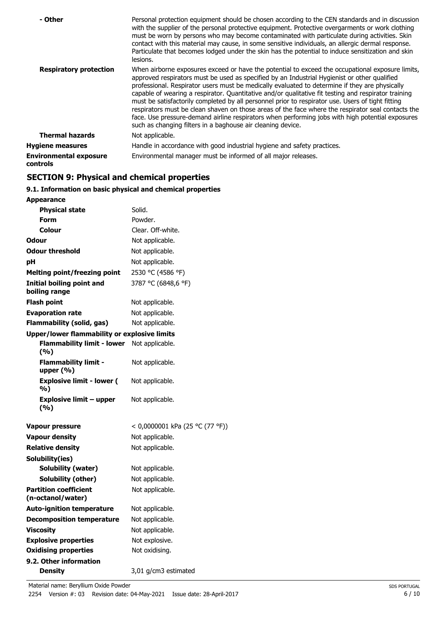| - Other                                   | Personal protection equipment should be chosen according to the CEN standards and in discussion<br>with the supplier of the personal protective equipment. Protective overgarments or work clothing<br>must be worn by persons who may become contaminated with particulate during activities. Skin<br>contact with this material may cause, in some sensitive individuals, an allergic dermal response.<br>Particulate that becomes lodged under the skin has the potential to induce sensitization and skin<br>lesions.                                                                                                                                                                                                                                                                |
|-------------------------------------------|------------------------------------------------------------------------------------------------------------------------------------------------------------------------------------------------------------------------------------------------------------------------------------------------------------------------------------------------------------------------------------------------------------------------------------------------------------------------------------------------------------------------------------------------------------------------------------------------------------------------------------------------------------------------------------------------------------------------------------------------------------------------------------------|
| <b>Respiratory protection</b>             | When airborne exposures exceed or have the potential to exceed the occupational exposure limits,<br>approved respirators must be used as specified by an Industrial Hygienist or other qualified<br>professional. Respirator users must be medically evaluated to determine if they are physically<br>capable of wearing a respirator. Quantitative and/or qualitative fit testing and respirator training<br>must be satisfactorily completed by all personnel prior to respirator use. Users of tight fitting<br>respirators must be clean shaven on those areas of the face where the respirator seal contacts the<br>face. Use pressure-demand airline respirators when performing jobs with high potential exposures<br>such as changing filters in a baghouse air cleaning device. |
| <b>Thermal hazards</b>                    | Not applicable.                                                                                                                                                                                                                                                                                                                                                                                                                                                                                                                                                                                                                                                                                                                                                                          |
| <b>Hygiene measures</b>                   | Handle in accordance with good industrial hygiene and safety practices.                                                                                                                                                                                                                                                                                                                                                                                                                                                                                                                                                                                                                                                                                                                  |
| <b>Environmental exposure</b><br>controls | Environmental manager must be informed of all major releases.                                                                                                                                                                                                                                                                                                                                                                                                                                                                                                                                                                                                                                                                                                                            |

## **SECTION 9: Physical and chemical properties**

## **9.1. Information on basic physical and chemical properties**

| <b>Appearance</b>                                   |                                 |
|-----------------------------------------------------|---------------------------------|
| <b>Physical state</b>                               | Solid.                          |
| Form                                                | Powder.                         |
| Colour                                              | Clear. Off-white.               |
| <b>Odour</b>                                        | Not applicable.                 |
| <b>Odour threshold</b>                              | Not applicable.                 |
| рH                                                  | Not applicable.                 |
| <b>Melting point/freezing point</b>                 | 2530 °C (4586 °F)               |
| <b>Initial boiling point and</b><br>boiling range   | 3787 °C (6848,6 °F)             |
| Flash point                                         | Not applicable.                 |
| <b>Evaporation rate</b>                             | Not applicable.                 |
| <b>Flammability (solid, gas)</b>                    | Not applicable.                 |
| <b>Upper/lower flammability or explosive limits</b> |                                 |
| <b>Flammability limit - lower</b><br>(%)            | Not applicable.                 |
| <b>Flammability limit -</b><br>upper $(% )$         | Not applicable.                 |
| <b>Explosive limit - lower (</b><br>%)              | Not applicable.                 |
| <b>Explosive limit - upper</b><br>(%)               | Not applicable.                 |
| Vapour pressure                                     | < 0,0000001 kPa (25 °C (77 °F)) |
| <b>Vapour density</b>                               | Not applicable.                 |
| <b>Relative density</b>                             | Not applicable.                 |
| Solubility(ies)                                     |                                 |
| <b>Solubility (water)</b>                           | Not applicable.                 |
| Solubility (other)                                  | Not applicable.                 |
| <b>Partition coefficient</b><br>(n-octanol/water)   | Not applicable.                 |
| <b>Auto-ignition temperature</b>                    | Not applicable.                 |
| <b>Decomposition temperature</b>                    | Not applicable.                 |
| <b>Viscosity</b>                                    | Not applicable.                 |
| <b>Explosive properties</b>                         | Not explosive.                  |
| <b>Oxidising properties</b>                         | Not oxidising.                  |
| 9.2. Other information                              |                                 |
| <b>Density</b>                                      | 3,01 g/cm3 estimated            |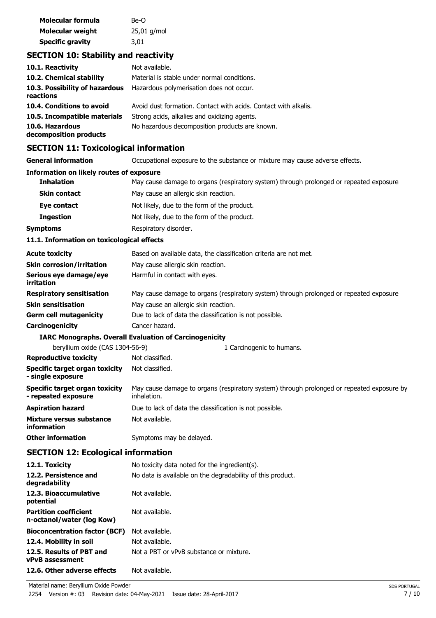| Molecular formula       | Be-O          |
|-------------------------|---------------|
| Molecular weight        | $25,01$ g/mol |
| <b>Specific gravity</b> | 3,01          |

## **SECTION 10: Stability and reactivity**

| 10.1. Reactivity                            | Not available.                                                  |
|---------------------------------------------|-----------------------------------------------------------------|
| 10.2. Chemical stability                    | Material is stable under normal conditions.                     |
| 10.3. Possibility of hazardous<br>reactions | Hazardous polymerisation does not occur.                        |
| 10.4. Conditions to avoid                   | Avoid dust formation. Contact with acids. Contact with alkalis. |
| 10.5. Incompatible materials                | Strong acids, alkalies and oxidizing agents.                    |
| 10.6. Hazardous<br>decomposition products   | No hazardous decomposition products are known.                  |

## **SECTION 11: Toxicological information**

| SECTION II. TOXICORGICAL IIIOHIIAGON                         |                                                                                                          |
|--------------------------------------------------------------|----------------------------------------------------------------------------------------------------------|
| <b>General information</b>                                   | Occupational exposure to the substance or mixture may cause adverse effects.                             |
| <b>Information on likely routes of exposure</b>              |                                                                                                          |
| <b>Inhalation</b>                                            | May cause damage to organs (respiratory system) through prolonged or repeated exposure.                  |
| <b>Skin contact</b>                                          | May cause an allergic skin reaction.                                                                     |
| Eye contact                                                  | Not likely, due to the form of the product.                                                              |
| <b>Ingestion</b>                                             | Not likely, due to the form of the product.                                                              |
| <b>Symptoms</b>                                              | Respiratory disorder.                                                                                    |
| 11.1. Information on toxicological effects                   |                                                                                                          |
| <b>Acute toxicity</b>                                        | Based on available data, the classification criteria are not met.                                        |
| <b>Skin corrosion/irritation</b>                             | May cause allergic skin reaction.                                                                        |
| Serious eye damage/eye<br>irritation                         | Harmful in contact with eyes.                                                                            |
| <b>Respiratory sensitisation</b>                             | May cause damage to organs (respiratory system) through prolonged or repeated exposure.                  |
| <b>Skin sensitisation</b>                                    | May cause an allergic skin reaction.                                                                     |
| <b>Germ cell mutagenicity</b>                                | Due to lack of data the classification is not possible.                                                  |
| Carcinogenicity                                              | Cancer hazard.                                                                                           |
|                                                              | <b>IARC Monographs. Overall Evaluation of Carcinogenicity</b>                                            |
| beryllium oxide (CAS 1304-56-9)                              | 1 Carcinogenic to humans.                                                                                |
| <b>Reproductive toxicity</b>                                 | Not classified.                                                                                          |
| Specific target organ toxicity<br>- single exposure          | Not classified.                                                                                          |
| <b>Specific target organ toxicity</b><br>- repeated exposure | May cause damage to organs (respiratory system) through prolonged or repeated exposure by<br>inhalation. |
| <b>Aspiration hazard</b>                                     | Due to lack of data the classification is not possible.                                                  |
| Mixture versus substance<br>information                      | Not available.                                                                                           |
| <b>Other information</b>                                     | Symptoms may be delayed.                                                                                 |
| <b>SECTION 12: Ecological information</b>                    |                                                                                                          |
| 12.1. Toxicity                                               | No toxicity data noted for the ingredient(s).                                                            |

| 12.1. Toxicity                                            | No toxicity data noted for the ingredient(s).              |
|-----------------------------------------------------------|------------------------------------------------------------|
| 12.2. Persistence and<br>degradability                    | No data is available on the degradability of this product. |
| 12.3. Bioaccumulative<br>potential                        | Not available.                                             |
| <b>Partition coefficient</b><br>n-octanol/water (log Kow) | Not available.                                             |
| <b>Bioconcentration factor (BCF)</b>                      | Not available.                                             |
| 12.4. Mobility in soil                                    | Not available.                                             |
| 12.5. Results of PBT and<br><b>vPvB</b> assessment        | Not a PBT or vPvB substance or mixture.                    |
| 12.6. Other adverse effects                               | Not available.                                             |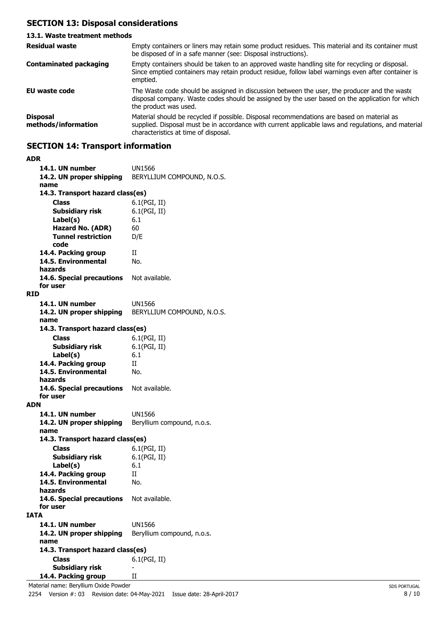## **SECTION 13: Disposal considerations**

#### **13.1. Waste treatment methods** Empty containers or liners may retain some product residues. This material and its container must be disposed of in a safe manner (see: Disposal instructions). **Residual waste** Empty containers should be taken to an approved waste handling site for recycling or disposal. Since emptied containers may retain product residue, follow label warnings even after container is emptied. **Contaminated packaging EU waste code** The Waste code should be assigned in discussion between the user, the producer and the waste disposal company. Waste codes should be assigned by the user based on the application for which the product was used. Material should be recycled if possible. Disposal recommendations are based on material as supplied. Disposal must be in accordance with current applicable laws and regulations, and material characteristics at time of disposal. **Disposal methods/information**

## **SECTION 14: Transport information**

| ADR                                      |                            |
|------------------------------------------|----------------------------|
| 14.1. UN number                          | UN1566                     |
| 14.2. UN proper shipping                 | BERYLLIUM COMPOUND, N.O.S. |
| name                                     |                            |
| 14.3. Transport hazard class(es)         |                            |
| Class                                    | 6.1(PGI, II)               |
| <b>Subsidiary risk</b>                   | 6.1(PGI, II)               |
|                                          | 6.1                        |
| Label(s)                                 |                            |
| Hazard No. (ADR)                         | 60                         |
| <b>Tunnel restriction</b>                | D/E                        |
| code                                     |                            |
| 14.4. Packing group                      | Н                          |
| 14.5. Environmental                      | No.                        |
| hazards                                  |                            |
| 14.6. Special precautions                | Not available.             |
| for user                                 |                            |
| RID                                      |                            |
| 14.1. UN number                          | <b>UN1566</b>              |
| 14.2. UN proper shipping                 | BERYLLIUM COMPOUND, N.O.S. |
| name                                     |                            |
| 14.3. Transport hazard class(es)         |                            |
| Class                                    | 6.1(PGI, II)               |
| Subsidiary risk                          | 6.1(PGI, II)               |
|                                          |                            |
| Label(s)                                 | 6.1                        |
| 14.4. Packing group                      | H                          |
| 14.5. Environmental                      | No.                        |
| hazards                                  |                            |
| 14.6. Special precautions                | Not available.             |
| for user                                 |                            |
| <b>ADN</b>                               |                            |
| 14.1. UN number                          | UN1566                     |
| 14.2. UN proper shipping                 | Beryllium compound, n.o.s. |
| name                                     |                            |
| 14.3. Transport hazard class(es)         |                            |
| <b>Class</b>                             | 6.1(PGI, II)               |
| <b>Subsidiary risk</b>                   | 6.1(PGI, II)               |
| Label(s)                                 | 6.1                        |
| 14.4. Packing group                      | Н                          |
| 14.5. Environmental                      | No.                        |
| hazards                                  |                            |
| 14.6. Special precautions Not available. |                            |
| for user                                 |                            |
| IATA                                     |                            |
| 14.1. UN number                          | UN1566                     |
|                                          |                            |
| 14.2. UN proper shipping                 | Beryllium compound, n.o.s. |
| name                                     |                            |
| 14.3. Transport hazard class(es)         |                            |
| <b>Class</b>                             | 6.1(PGI, II)               |
| <b>Subsidiary risk</b>                   |                            |
| 14.4. Packing group                      | П                          |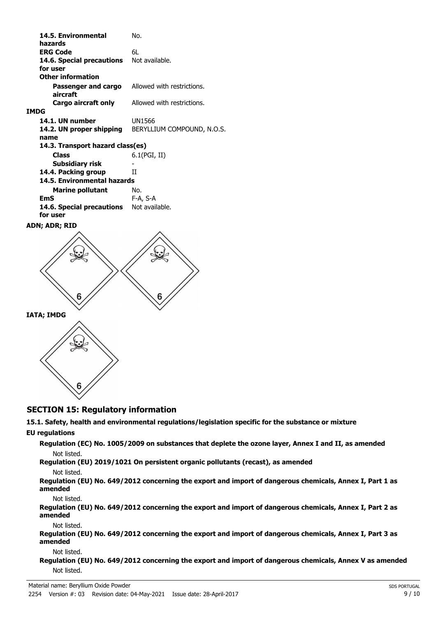| 14.5. Environmental                  | No.                        |
|--------------------------------------|----------------------------|
| hazards<br><b>ERG Code</b>           | 6L                         |
| 14.6. Special precautions            | Not available.             |
| for user<br><b>Other information</b> |                            |
|                                      |                            |
| Passenger and cargo<br>aircraft      | Allowed with restrictions. |
| Cargo aircraft only                  | Allowed with restrictions. |
| <b>IMDG</b>                          |                            |
| 14.1. UN number                      | UN1566                     |
| 14.2. UN proper shipping<br>name     | BERYLLIUM COMPOUND, N.O.S. |
| 14.3. Transport hazard class(es)     |                            |
| <b>Class</b>                         | $6.1$ (PGI, II)            |
| Subsidiary risk                      |                            |
| 14.4. Packing group                  | Н                          |
| 14.5. Environmental hazards          |                            |
| <b>Marine pollutant</b>              | No.                        |
| EmS                                  | F-A, S-A                   |
| 14.6. Special precautions            | Not available.             |
| for user                             |                            |
| ADN; ADR; RID                        |                            |





## **SECTION 15: Regulatory information**

## **15.1. Safety, health and environmental regulations/legislation specific for the substance or mixture**

## **EU regulations**

**Regulation (EC) No. 1005/2009 on substances that deplete the ozone layer, Annex I and II, as amended** Not listed.

**Regulation (EU) 2019/1021 On persistent organic pollutants (recast), as amended**

#### Not listed.

**Regulation (EU) No. 649/2012 concerning the export and import of dangerous chemicals, Annex I, Part 1 as amended**

Not listed.

**Regulation (EU) No. 649/2012 concerning the export and import of dangerous chemicals, Annex I, Part 2 as amended**

Not listed.

**Regulation (EU) No. 649/2012 concerning the export and import of dangerous chemicals, Annex I, Part 3 as amended**

Not listed.

**Regulation (EU) No. 649/2012 concerning the export and import of dangerous chemicals, Annex V as amended** Not listed.